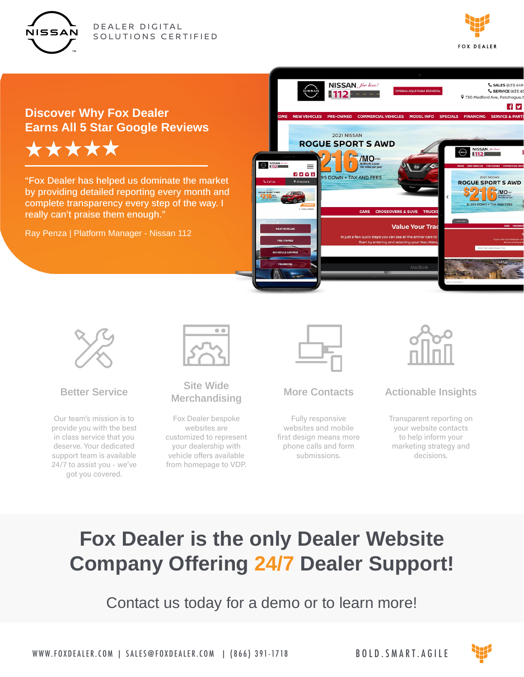



## **Discover Why Fox Dealer Earns All 5 Star Google Reviews** \*\*\*\*\*

"Fox Dealer has helped us dominate the market by providing detailed reporting every month and complete transparency every step of the way. I really can't praise them enough."

Ray Penza | Platform Manager - Nissan 112





#### **Better Service**

Our team's mission is to provide you with the best in class service that you deserve. Your dedicated support team is available 24/7 to assist you - we've got you covered.



#### **Site Wide Merchandising**

Fox Dealer bespoke websites are customized to represent your dealership with vehicle offers available from homepage to VDP.

#### **More Contacts**

Fully responsive websites and mobile first design means more phone calls and form submissions.



### **Actionable Insights**

Transparent reporting on your website contacts to help inform your marketing strategy and decisions.

# **Fox Dealer is the only Dealer Website Company Offering 24/7 Dealer Support!**

Contact us today for a demo or to learn more!